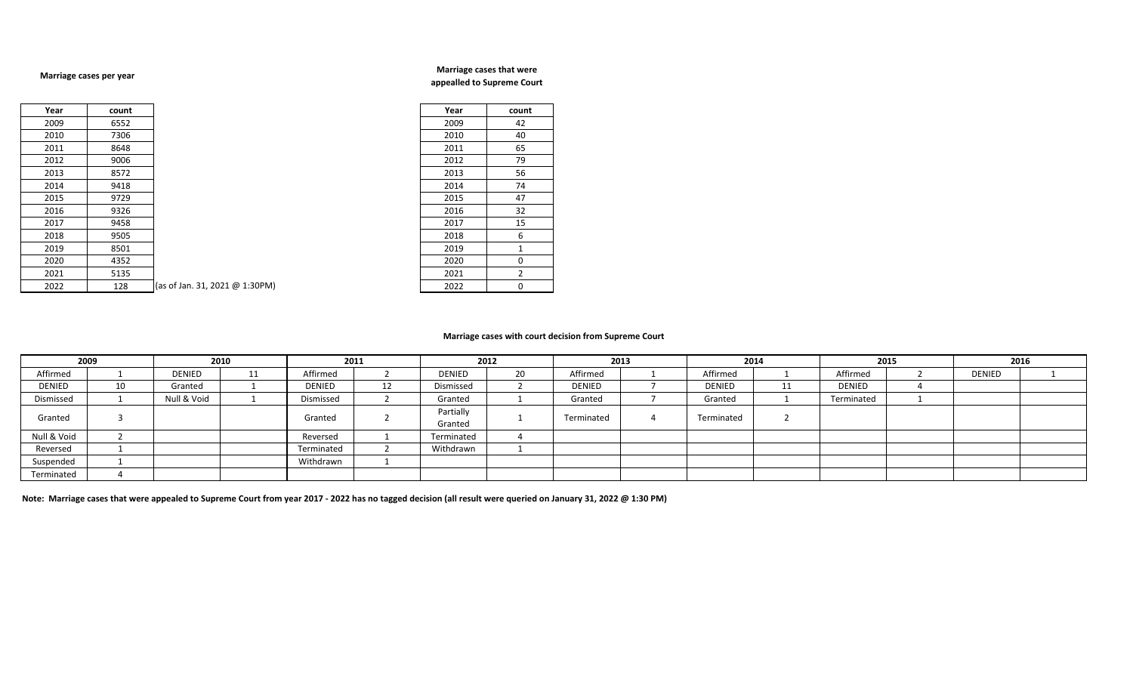## **Marriage cases per year**

## **Marriage cases that were appealled to Supreme Court**

| Year | count |                                | Year | count          |
|------|-------|--------------------------------|------|----------------|
| 2009 | 6552  |                                | 2009 | 42             |
| 2010 | 7306  |                                | 2010 | 40             |
| 2011 | 8648  |                                | 2011 | 65             |
| 2012 | 9006  |                                | 2012 | 79             |
| 2013 | 8572  |                                | 2013 | 56             |
| 2014 | 9418  |                                | 2014 | 74             |
| 2015 | 9729  |                                | 2015 | 47             |
| 2016 | 9326  |                                | 2016 | 32             |
| 2017 | 9458  |                                | 2017 | 15             |
| 2018 | 9505  |                                | 2018 | 6              |
| 2019 | 8501  |                                | 2019 | 1              |
| 2020 | 4352  |                                | 2020 | 0              |
| 2021 | 5135  |                                | 2021 | $\overline{2}$ |
| 2022 | 128   | (as of Jan. 31, 2021 @ 1:30PM) | 2022 | 0              |

| Year | count        |
|------|--------------|
| 2009 | 42           |
| 2010 | 40           |
| 2011 | 65           |
| 2012 | 79           |
| 2013 | 56           |
| 2014 | 74           |
| 2015 | 47           |
| 2016 | 32           |
| 2017 | 15           |
| 2018 | 6            |
| 2019 | $\mathbf{1}$ |
| 2020 | 0            |
| 2021 | 2            |
| 2022 | 0            |

## **Marriage cases with court decision from Supreme Court**

| 2009<br>2010 |    | 2011        |    | 2012          |   | 2013          |    | 2014       |  | 2015          |    | 2016       |  |        |  |
|--------------|----|-------------|----|---------------|---|---------------|----|------------|--|---------------|----|------------|--|--------|--|
| Affirmed     |    | DENIED      | 11 | Affirmed      |   | <b>DENIED</b> | 20 | Affirmed   |  | Affirmed      |    | Affirmed   |  | DENIED |  |
| DENIED       | τv | Granted     |    | <b>DENIED</b> | ᆠ | Dismissed     |    | DENIED     |  | <b>DENIED</b> | ᆠᆂ | DENIED     |  |        |  |
| Dismissed    |    | Null & Void |    | Dismissed     |   | Granted       |    | Granted    |  | Granted       |    | Terminated |  |        |  |
| Granted      |    |             |    | Granted       |   | Partially     |    | Terminated |  | Terminated    |    |            |  |        |  |
|              |    |             |    |               |   | Granted       |    |            |  |               |    |            |  |        |  |
| Null & Void  |    |             |    | Reversed      |   | Terminated    |    |            |  |               |    |            |  |        |  |
| Reversed     |    |             |    | Terminated    |   | Withdrawn     |    |            |  |               |    |            |  |        |  |
| Suspended    |    |             |    | Withdrawn     |   |               |    |            |  |               |    |            |  |        |  |
| Terminated   |    |             |    |               |   |               |    |            |  |               |    |            |  |        |  |

**Note: Marriage cases that were appealed to Supreme Court from year 2017 - 2022 has no tagged decision (all result were queried on January 31, 2022 @ 1:30 PM)**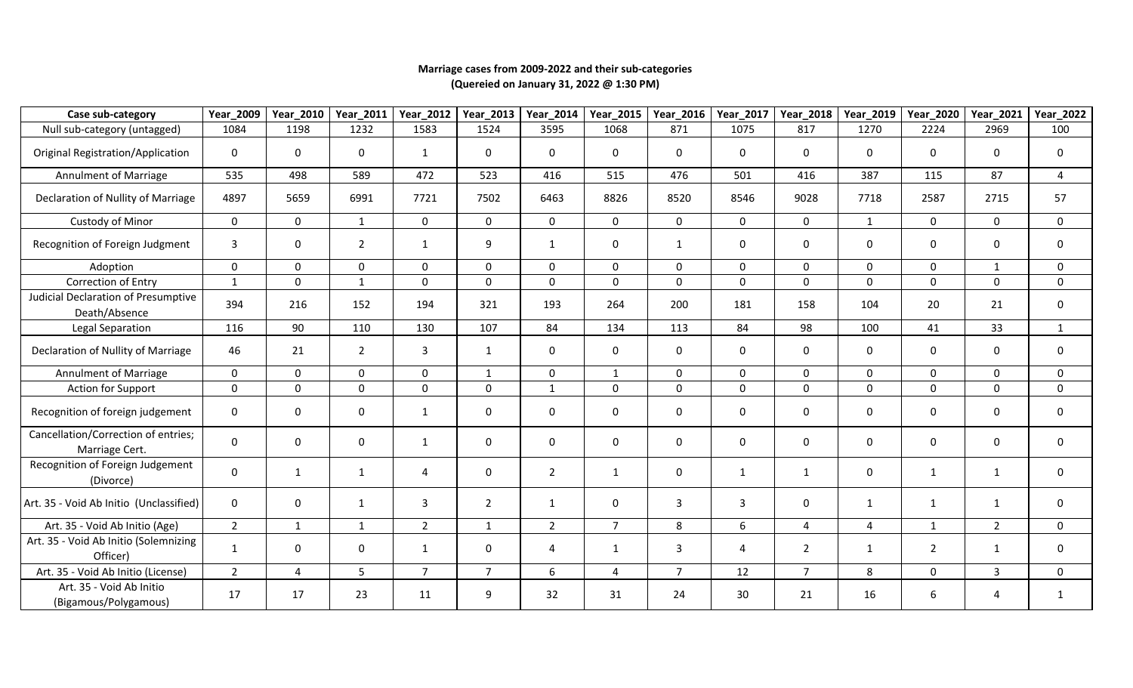## **Marriage cases from 2009-2022 and their sub-categories (Quereied on January 31, 2022 @ 1:30 PM)**

| Case sub-category                                     | Year_2009      | Year_2010      | Year_2011      | Year_2012      | Year_2013      | Year_2014      | Year_2015      | Year_2016      | Year_2017    | Year_2018      | Year_2019    | Year_2020      | Year_2021      | Year_2022      |
|-------------------------------------------------------|----------------|----------------|----------------|----------------|----------------|----------------|----------------|----------------|--------------|----------------|--------------|----------------|----------------|----------------|
| Null sub-category (untagged)                          | 1084           | 1198           | 1232           | 1583           | 1524           | 3595           | 1068           | 871            | 1075         | 817            | 1270         | 2224           | 2969           | 100            |
| <b>Original Registration/Application</b>              | 0              | $\mathbf 0$    | 0              | $\mathbf{1}$   | 0              | 0              | 0              | $\mathbf{0}$   | 0            | 0              | 0            | 0              | $\mathbf{0}$   | $\mathbf 0$    |
| Annulment of Marriage                                 | 535            | 498            | 589            | 472            | 523            | 416            | 515            | 476            | 501          | 416            | 387          | 115            | 87             | $\overline{4}$ |
| Declaration of Nullity of Marriage                    | 4897           | 5659           | 6991           | 7721           | 7502           | 6463           | 8826           | 8520           | 8546         | 9028           | 7718         | 2587           | 2715           | 57             |
| <b>Custody of Minor</b>                               | $\mathbf 0$    | $\mathbf 0$    | $\mathbf{1}$   | $\mathbf 0$    | $\mathbf 0$    | 0              | $\mathbf 0$    | $\mathbf 0$    | $\mathbf 0$  | $\mathbf 0$    | $\mathbf{1}$ | 0              | $\mathsf{O}$   | $\mathbf 0$    |
| Recognition of Foreign Judgment                       | 3              | $\mathbf 0$    | $\overline{2}$ | 1              | 9              | $\mathbf{1}$   | $\mathbf 0$    | 1              | 0            | $\mathbf 0$    | 0            | $\mathbf 0$    | 0              | $\mathbf 0$    |
| Adoption                                              | $\Omega$       | $\mathbf{0}$   | $\mathbf{0}$   | $\mathbf 0$    | $\mathbf 0$    | $\Omega$       | $\mathbf{0}$   | $\Omega$       | $\mathbf 0$  | $\Omega$       | $\Omega$     | $\mathbf{0}$   | $\mathbf{1}$   | $\mathbf 0$    |
| Correction of Entry                                   | $\mathbf{1}$   | $\mathbf 0$    | 1              | $\mathbf 0$    | $\mathbf 0$    | 0              | $\mathbf 0$    | 0              | $\mathbf 0$  | $\mathbf 0$    | 0            | 0              | $\mathbf 0$    | $\mathbf 0$    |
| Judicial Declaration of Presumptive<br>Death/Absence  | 394            | 216            | 152            | 194            | 321            | 193            | 264            | 200            | 181          | 158            | 104          | 20             | 21             | $\mathbf 0$    |
| Legal Separation                                      | 116            | 90             | 110            | 130            | 107            | 84             | 134            | 113            | 84           | 98             | 100          | 41             | 33             | $\mathbf{1}$   |
| Declaration of Nullity of Marriage                    | 46             | 21             | $\overline{2}$ | 3              | $\mathbf{1}$   | 0              | 0              | $\mathbf{0}$   | 0            | $\mathbf 0$    | 0            | 0              | $\mathbf{0}$   | $\mathbf 0$    |
| Annulment of Marriage                                 | $\mathbf 0$    | $\mathbf 0$    | $\Omega$       | $\mathbf 0$    | 1              | $\mathbf{0}$   | $\mathbf{1}$   | $\mathbf 0$    | $\mathsf{O}$ | $\mathbf 0$    | $\mathbf{0}$ | $\mathbf 0$    | $\Omega$       | $\mathbf 0$    |
| Action for Support                                    | $\mathsf{O}$   | $\mathbf 0$    | $\mathbf 0$    | $\mathbf 0$    | $\mathbf 0$    | $\mathbf{1}$   | $\mathbf 0$    | $\mathbf 0$    | $\mathbf 0$  | $\mathbf 0$    | 0            | 0              | $\mathbf 0$    | $\mathbf 0$    |
| Recognition of foreign judgement                      | $\mathbf{0}$   | 0              | $\mathbf 0$    | 1              | $\mathbf 0$    | 0              | 0              | 0              | 0            | $\mathbf 0$    | 0            | 0              | $\mathbf 0$    | $\mathbf 0$    |
| Cancellation/Correction of entries;<br>Marriage Cert. | 0              | $\mathbf 0$    | 0              | $\mathbf{1}$   | $\pmb{0}$      | 0              | $\mathbf 0$    | 0              | $\mathbf 0$  | $\mathbf 0$    | 0            | 0              | $\mathbf 0$    | $\mathbf 0$    |
| Recognition of Foreign Judgement<br>(Divorce)         | 0              | $\mathbf{1}$   | $\mathbf{1}$   | $\overline{4}$ | $\mathbf 0$    | $\overline{2}$ | $\mathbf{1}$   | $\mathbf{0}$   | $\mathbf{1}$ | $\mathbf{1}$   | $\Omega$     | $\mathbf{1}$   | $\mathbf{1}$   | $\mathbf 0$    |
| Art. 35 - Void Ab Initio (Unclassified)               | $\Omega$       | $\mathbf 0$    | $\mathbf{1}$   | $\overline{3}$ | $\overline{2}$ | $\mathbf{1}$   | $\mathbf 0$    | $\overline{3}$ | 3            | $\mathbf 0$    | $\mathbf{1}$ | $\mathbf{1}$   | $\mathbf{1}$   | $\mathbf 0$    |
| Art. 35 - Void Ab Initio (Age)                        | $\overline{2}$ | $\mathbf{1}$   | $\mathbf{1}$   | $\overline{2}$ | $\mathbf{1}$   | $2^{\circ}$    | $\overline{7}$ | 8              | 6            | $\overline{4}$ | 4            | $\mathbf{1}$   | $\overline{2}$ | $\mathbf 0$    |
| Art. 35 - Void Ab Initio (Solemnizing<br>Officer)     | $\mathbf{1}$   | 0              | $\mathbf 0$    | $\mathbf{1}$   | 0              | 4              | $\mathbf{1}$   | 3              | 4            | $\overline{2}$ | $\mathbf{1}$ | $\overline{2}$ | $\mathbf{1}$   | $\mathbf 0$    |
| Art. 35 - Void Ab Initio (License)                    | $\overline{2}$ | $\overline{4}$ | 5              | $\overline{7}$ | $\overline{7}$ | 6              | $\overline{4}$ | $\overline{7}$ | 12           | $\overline{7}$ | 8            | $\mathbf{0}$   | $\overline{3}$ | $\mathbf 0$    |
| Art. 35 - Void Ab Initio<br>(Bigamous/Polygamous)     | 17             | 17             | 23             | 11             | 9              | 32             | 31             | 24             | 30           | 21             | 16           | 6              | 4              | $\mathbf{1}$   |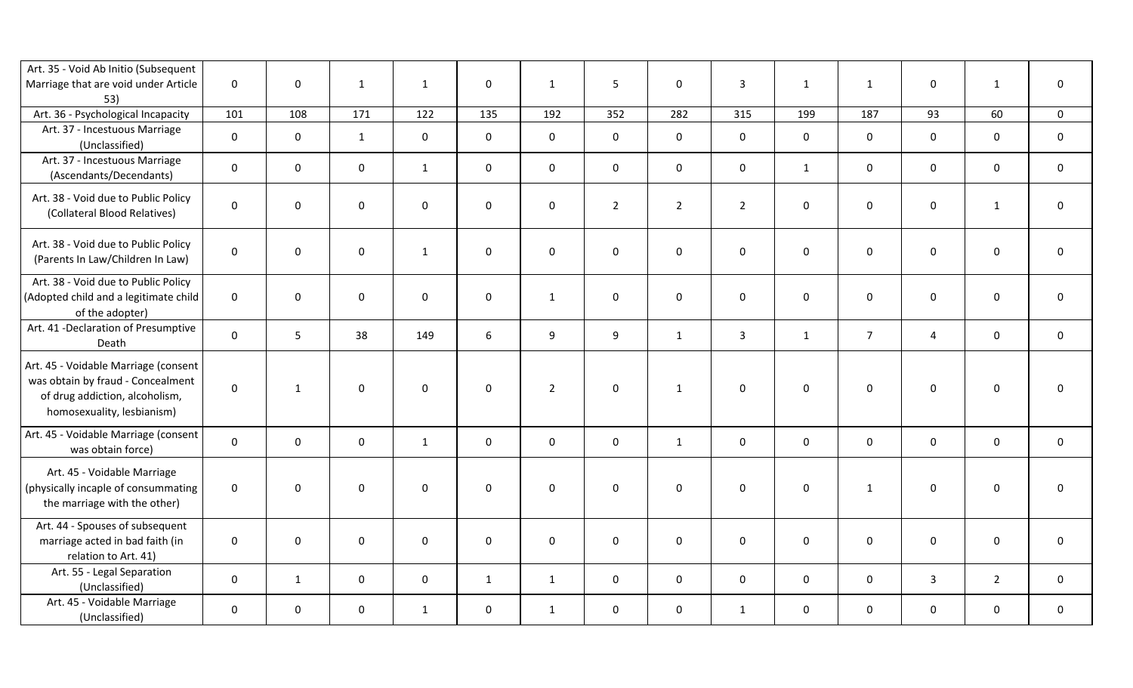| Art. 35 - Void Ab Initio (Subsequent<br>Marriage that are void under Article<br>53)                                                       | $\mathbf 0$         | $\mathsf{O}$        | $\mathbf{1}$ | $\mathbf{1}$ | $\mathsf{O}\xspace$ | $\mathbf{1}$   | 5              | $\mathbf 0$         | $\overline{3}$ | $\mathbf{1}$        | $\mathbf{1}$        | $\mathbf 0$         | $\mathbf{1}$        | $\pmb{0}$           |
|-------------------------------------------------------------------------------------------------------------------------------------------|---------------------|---------------------|--------------|--------------|---------------------|----------------|----------------|---------------------|----------------|---------------------|---------------------|---------------------|---------------------|---------------------|
| Art. 36 - Psychological Incapacity                                                                                                        | 101                 | 108                 | 171          | 122          | 135                 | 192            | 352            | 282                 | 315            | 199                 | 187                 | 93                  | 60                  | $\mathbf 0$         |
| Art. 37 - Incestuous Marriage<br>(Unclassified)                                                                                           | $\mathbf 0$         | $\mathsf{O}\xspace$ | $\mathbf{1}$ | $\mathsf 0$  | $\mathbf 0$         | $\mathsf{O}$   | $\mathbf 0$    | $\mathsf 0$         | $\mathsf 0$    | $\mathsf{O}\xspace$ | $\mathsf{O}$        | $\mathbf 0$         | $\mathbf 0$         | $\mathbf 0$         |
| Art. 37 - Incestuous Marriage<br>(Ascendants/Decendants)                                                                                  | $\mathbf 0$         | $\mathsf{O}\xspace$ | $\mathsf 0$  | $\mathbf{1}$ | $\mathsf{O}\xspace$ | $\mathsf{O}$   | $\mathbf 0$    | $\mathsf 0$         | $\mathsf 0$    | $\mathbf{1}$        | $\mathbf 0$         | $\mathsf 0$         | $\mathbf 0$         | $\mathsf{O}\xspace$ |
| Art. 38 - Void due to Public Policy<br>(Collateral Blood Relatives)                                                                       | $\pmb{0}$           | $\mathsf{O}$        | $\mathsf 0$  | $\pmb{0}$    | $\mathsf{O}\xspace$ | $\mathsf{O}$   | $\overline{2}$ | $\overline{2}$      | $\overline{2}$ | $\pmb{0}$           | $\mathsf{O}\xspace$ | $\mathsf 0$         | $\mathbf{1}$        | $\pmb{0}$           |
| Art. 38 - Void due to Public Policy<br>(Parents In Law/Children In Law)                                                                   | $\pmb{0}$           | $\mathsf{O}$        | $\mathbf 0$  | $\mathbf{1}$ | $\mathsf{O}\xspace$ | $\mathsf{O}$   | $\mathsf 0$    | $\mathsf{O}\xspace$ | $\mathbf 0$    | $\pmb{0}$           | $\mathsf{O}\xspace$ | $\mathsf{O}\xspace$ | $\mathsf{O}\xspace$ | $\mathbf 0$         |
| Art. 38 - Void due to Public Policy<br>(Adopted child and a legitimate child<br>of the adopter)                                           | $\mathbf 0$         | $\mathsf{O}$        | $\mathbf 0$  | $\mathbf 0$  | $\mathsf{O}\xspace$ | $\mathbf{1}$   | $\mathsf 0$    | $\mathsf 0$         | $\mathbf 0$    | $\pmb{0}$           | $\mathsf{O}\xspace$ | $\mathbf 0$         | $\mathsf{O}\xspace$ | $\mathbf 0$         |
| Art. 41 - Declaration of Presumptive<br>Death                                                                                             | $\pmb{0}$           | 5                   | 38           | 149          | 6                   | 9              | 9              | $\mathbf{1}$        | $\mathbf{3}$   | $\mathbf{1}$        | $\overline{7}$      | $\overline{4}$      | $\mathsf{O}\xspace$ | $\mathbf 0$         |
| Art. 45 - Voidable Marriage (consent<br>was obtain by fraud - Concealment<br>of drug addiction, alcoholism,<br>homosexuality, lesbianism) | $\pmb{0}$           | $\mathbf{1}$        | $\mathbf 0$  | $\pmb{0}$    | $\mathbf 0$         | $\overline{2}$ | $\mathsf 0$    | $\mathbf{1}$        | $\mathbf 0$    | $\mathbf 0$         | $\mathsf{O}\xspace$ | $\mathsf 0$         | $\mathbf 0$         | $\pmb{0}$           |
| Art. 45 - Voidable Marriage (consent<br>was obtain force)                                                                                 | 0                   | $\mathbf 0$         | $\mathbf 0$  | $\mathbf{1}$ | $\mathbf 0$         | $\mathsf{O}$   | $\mathbf 0$    | $\mathbf{1}$        | $\mathbf 0$    | $\mathbf 0$         | $\mathbf 0$         | $\mathbf 0$         | $\mathbf 0$         | $\mathsf{O}$        |
| Art. 45 - Voidable Marriage<br>(physically incaple of consummating<br>the marriage with the other)                                        | $\mathbf 0$         | $\mathbf 0$         | $\mathbf 0$  | $\mathbf 0$  | $\mathbf 0$         | $\mathbf 0$    | $\mathbf 0$    | $\mathbf 0$         | $\mathbf 0$    | $\mathbf 0$         | $\mathbf{1}$        | $\mathbf 0$         | $\mathbf 0$         | $\mathbf 0$         |
| Art. 44 - Spouses of subsequent<br>marriage acted in bad faith (in<br>relation to Art. 41)                                                | $\mathsf{O}\xspace$ | $\mathsf{O}\xspace$ | $\mathbf 0$  | $\pmb{0}$    | $\mathsf{O}\xspace$ | 0              | $\mathbf 0$    | $\mathsf 0$         | $\mathsf 0$    | $\mathbf 0$         | $\mathbf 0$         | $\mathbf 0$         | $\mathbf 0$         | $\pmb{0}$           |
| Art. 55 - Legal Separation<br>(Unclassified)                                                                                              | $\mathbf 0$         | $\mathbf{1}$        | $\mathbf 0$  | $\mathbf 0$  | $\mathbf{1}$        | $\mathbf{1}$   | $\mathbf 0$    | $\mathbf 0$         | $\mathbf 0$    | $\mathbf 0$         | $\mathbf 0$         | $\overline{3}$      | $\overline{2}$      | $\mathbf 0$         |
| Art. 45 - Voidable Marriage<br>(Unclassified)                                                                                             | $\mathbf 0$         | $\mathbf 0$         | $\mathsf 0$  | $\mathbf{1}$ | $\mathbf 0$         | $\mathbf{1}$   | $\mathbf 0$    | $\mathbf 0$         | $\mathbf{1}$   | $\mathbf 0$         | $\mathbf 0$         | $\mathbf 0$         | $\mathbf 0$         | $\mathsf{O}$        |